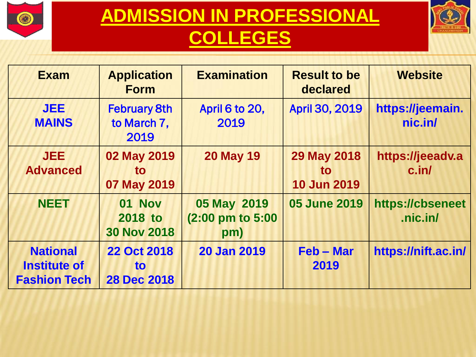



| <b>Exam</b>                                                   | <b>Application</b><br><b>Form</b>                     | <b>Examination</b>                     | <b>Result to be</b><br>declared                       | <b>Website</b>               |
|---------------------------------------------------------------|-------------------------------------------------------|----------------------------------------|-------------------------------------------------------|------------------------------|
| <b>JEE</b><br><b>MAINS</b>                                    | <b>February 8th</b><br>to March 7,<br>2019            | April 6 to 20,<br>2019                 | <b>April 30, 2019</b>                                 | https://jeemain.<br>nic.in/  |
| <b>JEE</b><br><b>Advanced</b>                                 | 02 May 2019<br>to<br>07 May 2019                      | <b>20 May 19</b>                       | <b>29 May 2018</b><br><b>to</b><br><b>10 Jun 2019</b> | https://jeeadv.a<br>c.in/    |
| <b>NEET</b>                                                   | <b>01 Nov</b><br><b>2018 to</b><br><b>30 Nov 2018</b> | 05 May 2019<br>(2:00 pm to 5:00<br>pm) | <b>05 June 2019</b>                                   | https://cbseneet<br>.nic.in/ |
| <b>National</b><br><b>Institute of</b><br><b>Fashion Tech</b> | <b>22 Oct 2018</b><br><b>to</b><br><b>28 Dec 2018</b> | <b>20 Jan 2019</b>                     | Feb - Mar<br>2019                                     | https://nift.ac.in/          |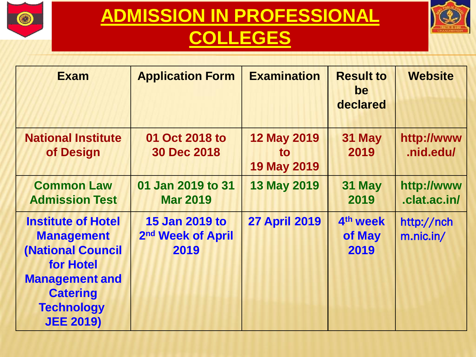



| <b>Exam</b>                                                                                                                                                                  | <b>Application Form</b>                                        | <b>Examination</b>                             | <b>Result to</b><br>be                 | <b>Website</b>             |
|------------------------------------------------------------------------------------------------------------------------------------------------------------------------------|----------------------------------------------------------------|------------------------------------------------|----------------------------------------|----------------------------|
|                                                                                                                                                                              |                                                                |                                                | declared                               |                            |
| <b>National Institute</b><br>of Design                                                                                                                                       | 01 Oct 2018 to<br><b>30 Dec 2018</b>                           | <b>12 May 2019</b><br>to<br><b>19 May 2019</b> | 31 May<br>2019                         | http://www<br>.nid.edu/    |
| <b>Common Law</b><br><b>Admission Test</b>                                                                                                                                   | 01 Jan 2019 to 31<br><b>Mar 2019</b>                           | <b>13 May 2019</b>                             | 31 May<br>2019                         | http://www<br>.clat.ac.in/ |
| <b>Institute of Hotel</b><br><b>Management</b><br><b>(National Council</b><br>for Hotel<br><b>Management and</b><br><b>Catering</b><br><b>Technology</b><br><b>JEE 2019)</b> | <b>15 Jan 2019 to</b><br>2 <sup>nd</sup> Week of April<br>2019 | <b>27 April 2019</b>                           | 4 <sup>th</sup> week<br>of May<br>2019 | http://nch<br>m.nic.in/    |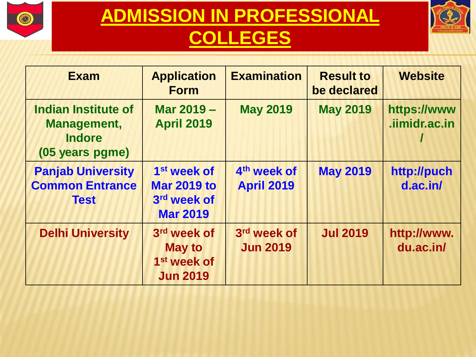



| <b>Exam</b>                                                                   | <b>Application</b><br><b>Form</b>                                               | <b>Examination</b>                           | <b>Result to</b><br>be declared | <b>Website</b>               |
|-------------------------------------------------------------------------------|---------------------------------------------------------------------------------|----------------------------------------------|---------------------------------|------------------------------|
| <b>Indian Institute of</b><br>Management,<br><b>Indore</b><br>(05 years pgme) | Mar 2019 -<br><b>April 2019</b>                                                 | <b>May 2019</b>                              | <b>May 2019</b>                 | https://www<br>.iimidr.ac.in |
| <b>Panjab University</b><br><b>Common Entrance</b><br><b>Test</b>             | 1 <sup>st</sup> week of<br><b>Mar 2019 to</b><br>3rd week of<br><b>Mar 2019</b> | 4 <sup>th</sup> week of<br><b>April 2019</b> | <b>May 2019</b>                 | http://puch<br>$d$ .ac.in/   |
| <b>Delhi University</b>                                                       | 3rd week of<br><b>May to</b><br>1 <sup>st</sup> week of<br><b>Jun 2019</b>      | 3rd week of<br><b>Jun 2019</b>               | <b>Jul 2019</b>                 | http://www.<br>du.ac.in/     |